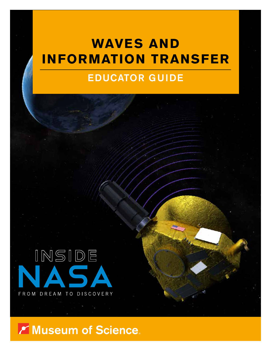# **WAVES AND INFORMATION TRANSFER**

# EDUCATOR GUIDE



Museum of Science.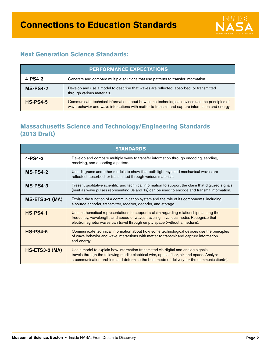

#### **Next Generation Science Standards:**

| <b>PERFORMANCE EXPECTATIONS</b> |                                                                                                                                                                                                 |  |
|---------------------------------|-------------------------------------------------------------------------------------------------------------------------------------------------------------------------------------------------|--|
| $4 - PS4 - 3$                   | Generate and compare multiple solutions that use patterns to transfer information.                                                                                                              |  |
| $MS-PS4-2$                      | Develop and use a model to describe that waves are reflected, absorbed, or transmitted<br>through various materials.                                                                            |  |
| $HS-PS4-5$                      | Communicate technical information about how some technological devices use the principles of<br>wave behavior and wave interactions with matter to transmit and capture information and energy. |  |

#### **Massachusetts Science and Technology/Engineering Standards (2013 Draft)**

| <b>STANDARDS</b>      |                                                                                                                                                                                                                                                                                |  |
|-----------------------|--------------------------------------------------------------------------------------------------------------------------------------------------------------------------------------------------------------------------------------------------------------------------------|--|
| $4 - PS4 - 3$         | Develop and compare multiple ways to transfer information through encoding, sending,<br>receiving, and decoding a pattern.                                                                                                                                                     |  |
| $MS-PS4-2$            | Use diagrams and other models to show that both light rays and mechanical waves are<br>reflected, absorbed, or transmitted through various materials.                                                                                                                          |  |
| $MS-PS4-3$            | Present qualitative scientific and technical information to support the claim that digitized signals<br>(sent as wave pulses representing 0s and 1s) can be used to encode and transmit information.                                                                           |  |
| $MS-ETS3-1$ (MA)      | Explain the function of a communication system and the role of its components, including<br>a source encoder, transmitter, receiver, decoder, and storage.                                                                                                                     |  |
| <b>HS-PS4-1</b>       | Use mathematical representations to support a claim regarding relationships among the<br>frequency, wavelength, and speed of waves traveling in various media. Recognize that<br>electromagnetic waves can travel through empty space (without a medium).                      |  |
| <b>HS-PS4-5</b>       | Communicate technical information about how some technological devices use the principles<br>of wave behavior and wave interactions with matter to transmit and capture information<br>and energy.                                                                             |  |
| <b>HS-ETS3-2 (MA)</b> | Use a model to explain how information transmitted via digital and analog signals<br>travels through the following media: electrical wire, optical fiber, air, and space. Analyze<br>a communication problem and determine the best mode of delivery for the communication(s). |  |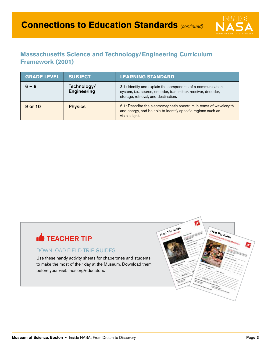

#### **Massachusetts Science and Technology/Engineering Curriculum Framework (2001)**

| <b>GRADE LEVEL</b> | <b>SUBJECT</b>                    | <b>LEARNING STANDARD</b>                                                                                                                                              |
|--------------------|-----------------------------------|-----------------------------------------------------------------------------------------------------------------------------------------------------------------------|
| $6 - 8$            | Technology/<br><b>Engineering</b> | 3.1: Identify and explain the components of a communication<br>system, i.e., source, encoder, transmitter, receiver, decoder,<br>storage, retrieval, and destination. |
| 9 or 10            | <b>Physics</b>                    | 6.1: Describe the electromagnetic spectrum in terms of wavelength<br>and energy, and be able to identify specific regions such as<br>visible light.                   |

# **TEACHER TIP**

#### DOWNLOAD FIELD TRIP GUIDES!

Use these handy activity sheets for chaperones and students to make the most of their day at the Museum. Download them before your visit: mos.org/educators.

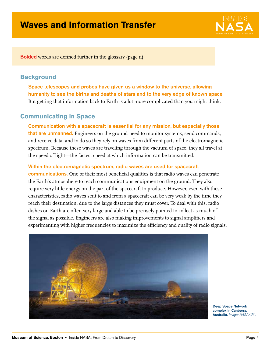

Bolded words are defined further in the glossary (page 11).

#### **Background**

Space telescopes and probes have given us a window to the universe, allowing humanity to see the births and deaths of stars and to the very edge of known space. But getting that information back to Earth is a lot more complicated than you might think.

#### **Communicating in Space**

Communication with a spacecraft is essential for any mission, but especially those that are unmanned. Engineers on the ground need to monitor systems, send commands, and receive data, and to do so they rely on waves from different parts of the electromagnetic spectrum. Because these waves are traveling through the vacuum of space, they all travel at the speed of light—the fastest speed at which information can be transmitted.

Within the electromagnetic spectrum, radio waves are used for spacecraft communications. One of their most beneficial qualities is that radio waves can penetrate the Earth's atmosphere to reach communications equipment on the ground. They also require very little energy on the part of the spacecraft to produce. However, even with these characteristics, radio waves sent to and from a spacecraft can be very weak by the time they reach their destination, due to the large distances they must cover. To deal with this, radio dishes on Earth are often very large and able to be precisely pointed to collect as much of the signal as possible. Engineers are also making improvements to signal amplifiers and experimenting with higher frequencies to maximize the efficiency and quality of radio signals.



Deep Space Network complex in Canberra, Australia. Image: NASA/JPL.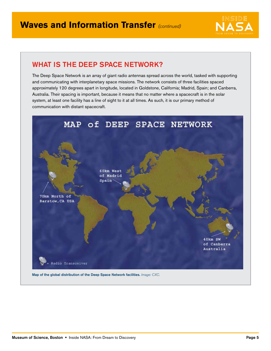

### WHAT IS THE DEEP SPACE NETWORK?

The Deep Space Network is an array of giant radio antennas spread across the world, tasked with supporting and communicating with interplanetary space missions. The network consists of three facilities spaced approximately 120 degrees apart in longitude, located in Goldstone, California; Madrid, Spain; and Canberra, Australia. Their spacing is important, because it means that no matter where a spacecraft is in the solar system, at least one facility has a line of sight to it at all times. As such, it is our primary method of communication with distant spacecraft.

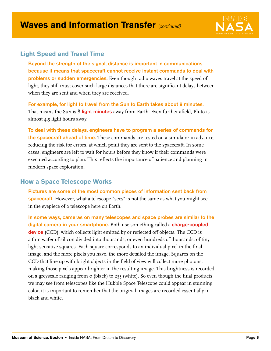

#### **Light Speed and Travel Time**

Beyond the strength of the signal, distance is important in communications because it means that spacecraft cannot receive instant commands to deal with problems or sudden emergencies. Even though radio waves travel at the speed of light, they still must cover such large distances that there are significant delays between when they are sent and when they are received.

For example, for light to travel from the Sun to Earth takes about 8 minutes. That means the Sun is 8 light minutes away from Earth. Even further afield, Pluto is almost 4.5 light hours away.

To deal with these delays, engineers have to program a series of commands for the spacecraft ahead of time. These commands are tested on a simulator in advance, reducing the risk for errors, at which point they are sent to the spacecraft. In some cases, engineers are left to wait for hours before they know if their commands were executed according to plan. This reflects the importance of patience and planning in modern space exploration.

#### **How a Space Telescope Works**

Pictures are some of the most common pieces of information sent back from spacecraft. However, what a telescope "sees" is not the same as what you might see in the eyepiece of a telescope here on Earth.

In some ways, cameras on many telescopes and space probes are similar to the digital camera in your smartphone. Both use something called a charge-coupled device (CCD), which collects light emitted by or reflected off objects. The CCD is a thin wafer of silicon divided into thousands, or even hundreds of thousands, of tiny light-sensitive squares. Each square corresponds to an individual pixel in the final image, and the more pixels you have, the more detailed the image. Squares on the CCD that line up with bright objects in the field of view will collect more photons, making those pixels appear brighter in the resulting image. This brightness is recorded on a greyscale ranging from 0 (black) to 255 (white). So even though the final products we may see from telescopes like the Hubble Space Telescope could appear in stunning color, it is important to remember that the original images are recorded essentially in black and white.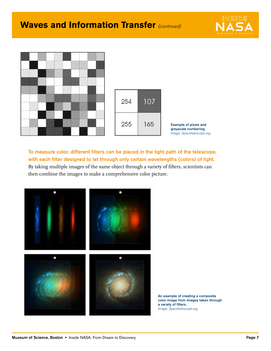## **Waves and Information Transfer (continued)**





To measure color, different filters can be placed in the light path of the telescope, with each filter designed to let through only certain wavelengths (colors) of light. By taking multiple images of the same object through a variety of filters, scientists can then combine the images to make a comprehensive color picture.



An example of creating a composite color image from images taken through a variety of filters. Image: Spacetelescope.org.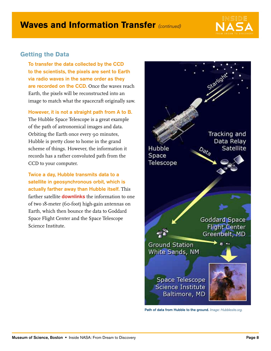

#### **Getting the Data**

To transfer the data collected by the CCD to the scientists, the pixels are sent to Earth via radio waves in the same order as they are recorded on the CCD. Once the waves reach Earth, the pixels will be reconstructed into an image to match what the spacecraft originally saw.

However, it is not a straight path from A to B. The Hubble Space Telescope is a great example of the path of astronomical images and data. Orbiting the Earth once every 90 minutes, Hubble is pretty close to home in the grand scheme of things. However, the information it records has a rather convoluted path from the CCD to your computer.

Twice a day, Hubble transmits data to a satellite in geosynchronous orbit, which is actually farther away than Hubble itself. This farther satellite **downlinks** the information to one of two 18-meter (60-foot) high-gain antennas on Earth, which then bounce the data to Goddard Space Flight Center and the Space Telescope Science Institute.



Path of data from Hubble to the ground. Image: Hubblesite.org.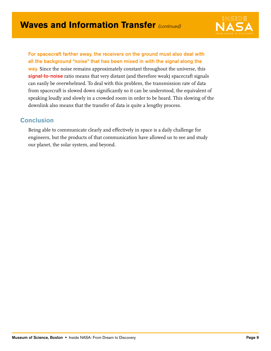

For spacecraft farther away, the receivers on the ground must also deal with all the background "noise" that has been mixed in with the signal along the way. Since the noise remains approximately constant throughout the universe, this signal-to-noise ratio means that very distant (and therefore weak) spacecraft signals can easily be overwhelmed. To deal with this problem, the transmission rate of data from spacecraft is slowed down significantly so it can be understood, the equivalent of speaking loudly and slowly in a crowded room in order to be heard. This slowing of the downlink also means that the transfer of data is quite a lengthy process.

#### **Conclusion**

Being able to communicate clearly and effectively in space is a daily challenge for engineers, but the products of that communication have allowed us to see and study our planet, the solar system, and beyond.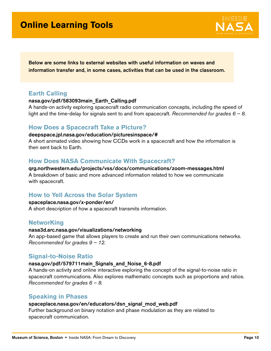### **Online Learning Tools**



Below are some links to external websites with useful information on waves and information transfer and, in some cases, activities that can be used in the classroom.

#### **Earth Calling**

#### [nasa.gov/pdf/583093main\\_Earth\\_Calling.pdf](www.nasa.gov/pdf/583093main_Earth_Calling.pdf)

A hands-on activity exploring spacecraft radio communication concepts, including the speed of light and the time-delay for signals sent to and from spacecraft. Recommended for grades  $6 - 8$ .

#### **How Does a Spacecraft Take a Picture?**

#### <deepspace.jpl.nasa.gov/education/picturesinspace/#>

A short animated video showing how CCDs work in a spacecraft and how the information is then sent back to Earth.

#### **How Does NASA Communicate With Spacecraft?**

[qrg.northwestern.edu/projects/vss/docs/communications/zoom-messages.html](www.qrg.northwestern.edu/projects/vss/docs/communications/zoom-messages.html) A breakdown of basic and more advanced information related to how we communicate with spacecraft.

#### **How to Yell Across the Solar System**

#### [spaceplace.nasa.gov/x-ponder/en/](www.spaceplace.nasa.gov/x-ponder/en/)

A short description of how a spacecraft transmits information.

#### **NetworKing**

#### <nasa3d.arc.nasa.gov/visualizations/networking>

An app-based game that allows players to create and run their own communications networks. Recommended for grades 9 – 12.

#### **Signal-to-Noise Ratio**

#### [nasa.gov/pdf/579711main\\_Signals\\_and\\_Noise\\_6-8.pdf](www.nasa.gov/pdf/579711main_Signals_and_Noise_6-8.pdf)

A hands-on activity and online interactive exploring the concept of the signal-to-noise ratio in spacecraft communications. Also explores mathematic concepts such as proportions and ratios. Recommended for grades  $6 - 8$ .

#### **Speaking in Phases**

#### [spaceplace.nasa.gov/en/educators/dsn\\_signal\\_mod\\_web.pdf](www.spaceplace.nasa.gov/en/educators/dsn_signal_mod_web.pdf)

Further background on binary notation and phase modulation as they are related to spacecraft communication.